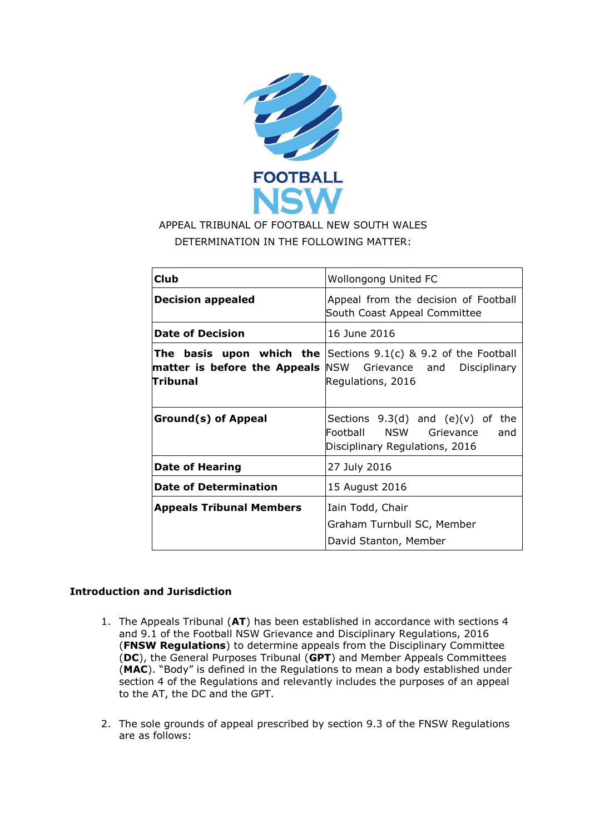

# APPEAL TRIBUNAL OF FOOTBALL NEW SOUTH WALES DETERMINATION IN THE FOLLOWING MATTER:

| <b>Club</b>                                                       | <b>Wollongong United FC</b>                                                                                  |
|-------------------------------------------------------------------|--------------------------------------------------------------------------------------------------------------|
| <b>Decision appealed</b>                                          | Appeal from the decision of Football<br>South Coast Appeal Committee                                         |
| <b>Date of Decision</b>                                           | 16 June 2016                                                                                                 |
| <b>matter is before the Appeals</b> NSW Grievance and<br>Tribunal | <b>The basis upon which the</b> Sections $9.1(c)$ & 9.2 of the Football<br>Disciplinary<br>Regulations, 2016 |
| <b>Ground(s) of Appeal</b>                                        | Sections $9.3(d)$ and $(e)(v)$ of the<br>Football NSW Grievance<br>and<br>Disciplinary Regulations, 2016     |
| <b>Date of Hearing</b>                                            | 27 July 2016                                                                                                 |
| <b>Date of Determination</b>                                      | 15 August 2016                                                                                               |
| <b>Appeals Tribunal Members</b>                                   | Iain Todd, Chair<br>Graham Turnbull SC, Member<br>David Stanton, Member                                      |

## **Introduction and Jurisdiction**

- 1. The Appeals Tribunal (**AT**) has been established in accordance with sections 4 and 9.1 of the Football NSW Grievance and Disciplinary Regulations, 2016 (**FNSW Regulations**) to determine appeals from the Disciplinary Committee (**DC**), the General Purposes Tribunal (**GPT**) and Member Appeals Committees (**MAC**). "Body" is defined in the Regulations to mean a body established under section 4 of the Regulations and relevantly includes the purposes of an appeal to the AT, the DC and the GPT.
- 2. The sole grounds of appeal prescribed by section 9.3 of the FNSW Regulations are as follows: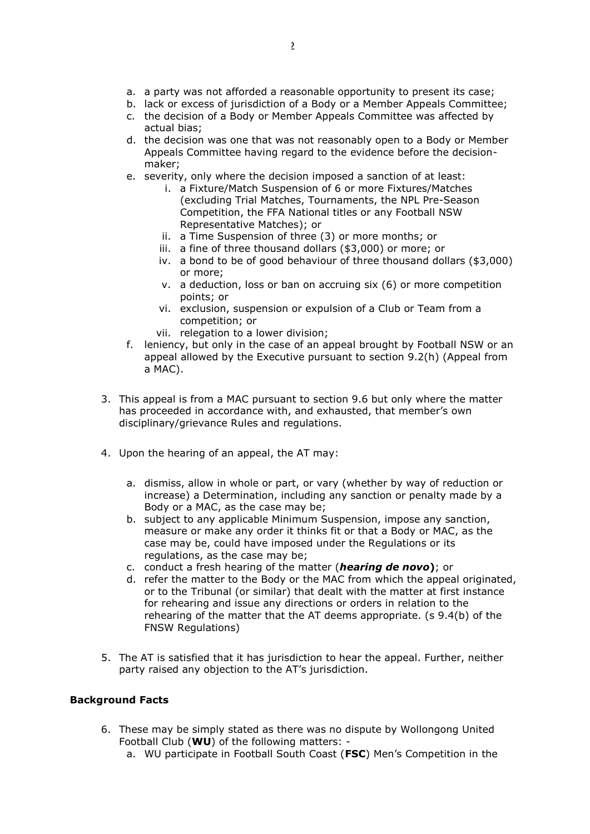- a. a party was not afforded a reasonable opportunity to present its case;
- b. lack or excess of jurisdiction of a Body or a Member Appeals Committee;
- c. the decision of a Body or Member Appeals Committee was affected by actual bias;
- d. the decision was one that was not reasonably open to a Body or Member Appeals Committee having regard to the evidence before the decisionmaker;
- e. severity, only where the decision imposed a sanction of at least:
	- i. a Fixture/Match Suspension of 6 or more Fixtures/Matches (excluding Trial Matches, Tournaments, the NPL Pre-Season Competition, the FFA National titles or any Football NSW Representative Matches); or
	- ii. a Time Suspension of three (3) or more months; or
	- iii. a fine of three thousand dollars (\$3,000) or more; or
	- iv. a bond to be of good behaviour of three thousand dollars (\$3,000) or more;
	- v. a deduction, loss or ban on accruing six (6) or more competition points; or
	- vi. exclusion, suspension or expulsion of a Club or Team from a competition; or
	- vii. relegation to a lower division;
- f. leniency, but only in the case of an appeal brought by Football NSW or an appeal allowed by the Executive pursuant to section 9.2(h) (Appeal from a MAC).
- 3. This appeal is from a MAC pursuant to section 9.6 but only where the matter has proceeded in accordance with, and exhausted, that member's own disciplinary/grievance Rules and regulations.
- 4. Upon the hearing of an appeal, the AT may:
	- a. dismiss, allow in whole or part, or vary (whether by way of reduction or increase) a Determination, including any sanction or penalty made by a Body or a MAC, as the case may be;
	- b. subject to any applicable Minimum Suspension, impose any sanction, measure or make any order it thinks fit or that a Body or MAC, as the case may be, could have imposed under the Regulations or its regulations, as the case may be;
	- c. conduct a fresh hearing of the matter (*hearing de novo***)**; or
	- d. refer the matter to the Body or the MAC from which the appeal originated, or to the Tribunal (or similar) that dealt with the matter at first instance for rehearing and issue any directions or orders in relation to the rehearing of the matter that the AT deems appropriate. (s 9.4(b) of the FNSW Regulations)
- 5. The AT is satisfied that it has jurisdiction to hear the appeal. Further, neither party raised any objection to the AT's jurisdiction.

### **Background Facts**

- 6. These may be simply stated as there was no dispute by Wollongong United Football Club (**WU**) of the following matters:
	- a. WU participate in Football South Coast (**FSC**) Men's Competition in the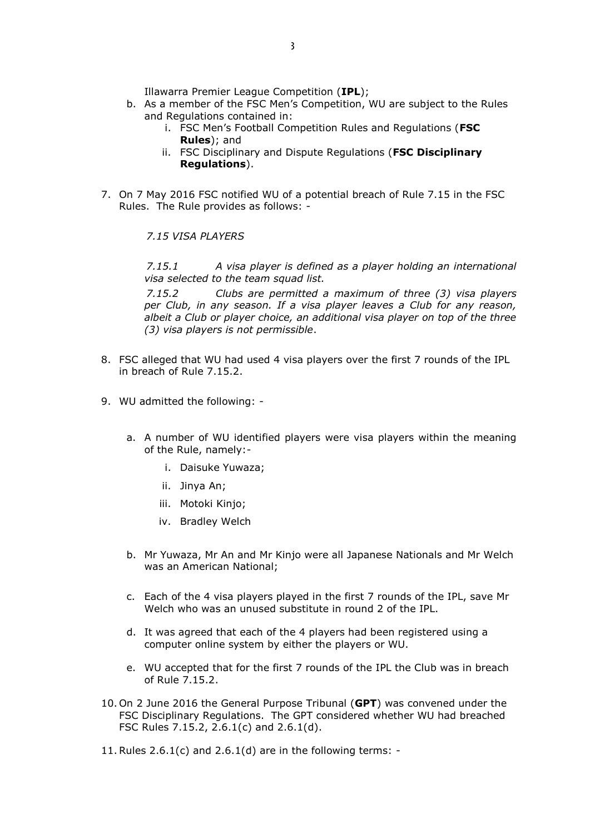Illawarra Premier League Competition (**IPL**);

- b. As a member of the FSC Men's Competition, WU are subject to the Rules and Regulations contained in:
	- i. FSC Men's Football Competition Rules and Regulations (**FSC Rules**); and
	- ii. FSC Disciplinary and Dispute Regulations (**FSC Disciplinary Regulations**).
- 7. On 7 May 2016 FSC notified WU of a potential breach of Rule 7.15 in the FSC Rules. The Rule provides as follows: -

*7.15 VISA PLAYERS*

*7.15.1 A visa player is defined as a player holding an international visa selected to the team squad list.*

*7.15.2 Clubs are permitted a maximum of three (3) visa players per Club, in any season. If a visa player leaves a Club for any reason, albeit a Club or player choice, an additional visa player on top of the three (3) visa players is not permissible*.

- 8. FSC alleged that WU had used 4 visa players over the first 7 rounds of the IPL in breach of Rule 7.15.2.
- 9. WU admitted the following:
	- a. A number of WU identified players were visa players within the meaning of the Rule, namely:
		- i. Daisuke Yuwaza;
		- ii. Jinya An;
		- iii. Motoki Kinjo;
		- iv. Bradley Welch
	- b. Mr Yuwaza, Mr An and Mr Kinjo were all Japanese Nationals and Mr Welch was an American National;
	- c. Each of the 4 visa players played in the first 7 rounds of the IPL, save Mr Welch who was an unused substitute in round 2 of the IPL.
	- d. It was agreed that each of the 4 players had been registered using a computer online system by either the players or WU.
	- e. WU accepted that for the first 7 rounds of the IPL the Club was in breach of Rule 7.15.2.
- 10. On 2 June 2016 the General Purpose Tribunal (**GPT**) was convened under the FSC Disciplinary Regulations. The GPT considered whether WU had breached FSC Rules 7.15.2, 2.6.1(c) and 2.6.1(d).
- 11. Rules  $2.6.1(c)$  and  $2.6.1(d)$  are in the following terms: -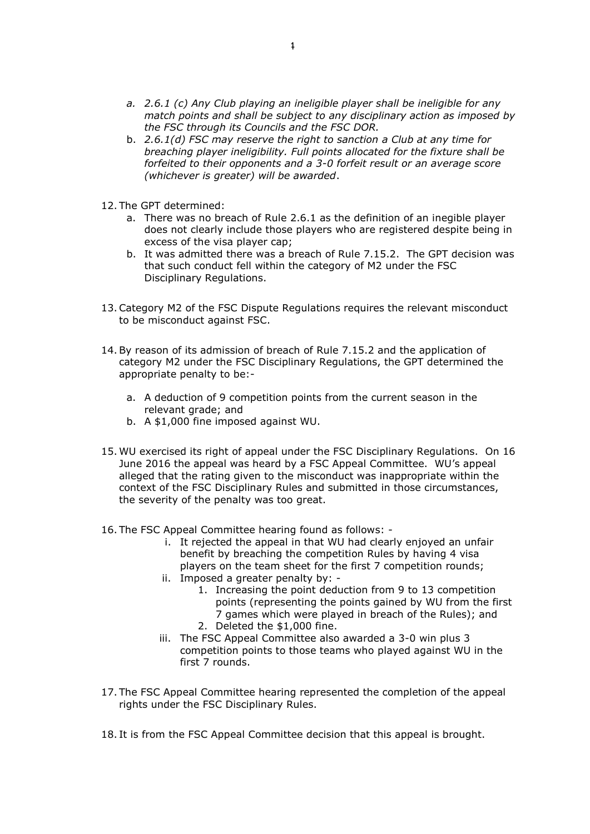- *a. 2.6.1 (c) Any Club playing an ineligible player shall be ineligible for any match points and shall be subject to any disciplinary action as imposed by the FSC through its Councils and the FSC DOR.*
- b. *2.6.1(d) FSC may reserve the right to sanction a Club at any time for breaching player ineligibility. Full points allocated for the fixture shall be forfeited to their opponents and a 3-0 forfeit result or an average score (whichever is greater) will be awarded*.
- 12. The GPT determined:
	- a. There was no breach of Rule 2.6.1 as the definition of an inegible player does not clearly include those players who are registered despite being in excess of the visa player cap;
	- b. It was admitted there was a breach of Rule 7.15.2. The GPT decision was that such conduct fell within the category of M2 under the FSC Disciplinary Regulations.
- 13.Category M2 of the FSC Dispute Regulations requires the relevant misconduct to be misconduct against FSC.
- 14.By reason of its admission of breach of Rule 7.15.2 and the application of category M2 under the FSC Disciplinary Regulations, the GPT determined the appropriate penalty to be:
	- a. A deduction of 9 competition points from the current season in the relevant grade; and
	- b. A \$1,000 fine imposed against WU.
- 15. WU exercised its right of appeal under the FSC Disciplinary Regulations. On 16 June 2016 the appeal was heard by a FSC Appeal Committee. WU's appeal alleged that the rating given to the misconduct was inappropriate within the context of the FSC Disciplinary Rules and submitted in those circumstances, the severity of the penalty was too great.
- 16. The FSC Appeal Committee hearing found as follows:
	- i. It rejected the appeal in that WU had clearly enjoyed an unfair benefit by breaching the competition Rules by having 4 visa players on the team sheet for the first 7 competition rounds;
	- ii. Imposed a greater penalty by:
		- 1. Increasing the point deduction from 9 to 13 competition points (representing the points gained by WU from the first 7 games which were played in breach of the Rules); and 2. Deleted the \$1,000 fine.
	- iii. The FSC Appeal Committee also awarded a 3-0 win plus 3 competition points to those teams who played against WU in the first 7 rounds.
- 17. The FSC Appeal Committee hearing represented the completion of the appeal rights under the FSC Disciplinary Rules.
- 18. It is from the FSC Appeal Committee decision that this appeal is brought.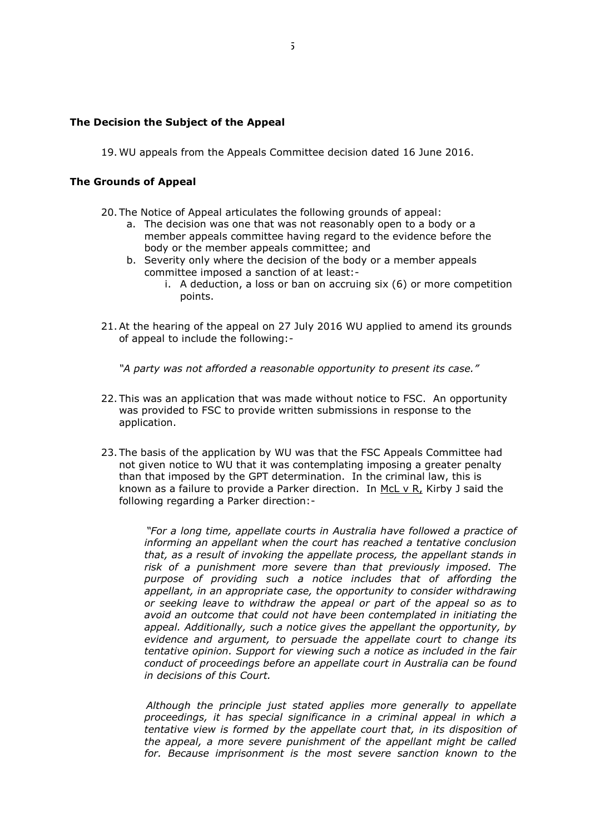#### **The Decision the Subject of the Appeal**

19. WU appeals from the Appeals Committee decision dated 16 June 2016.

#### **The Grounds of Appeal**

- 20. The Notice of Appeal articulates the following grounds of appeal:
	- a. The decision was one that was not reasonably open to a body or a member appeals committee having regard to the evidence before the body or the member appeals committee; and
	- b. Severity only where the decision of the body or a member appeals committee imposed a sanction of at least:
		- i. A deduction, a loss or ban on accruing six (6) or more competition points.
- 21.At the hearing of the appeal on 27 July 2016 WU applied to amend its grounds of appeal to include the following:-

*"A party was not afforded a reasonable opportunity to present its case."*

- 22. This was an application that was made without notice to FSC. An opportunity was provided to FSC to provide written submissions in response to the application.
- 23. The basis of the application by WU was that the FSC Appeals Committee had not given notice to WU that it was contemplating imposing a greater penalty than that imposed by the GPT determination. In the criminal law, this is known as a failure to provide a Parker direction. In  $MCL v R$ , Kirby J said the</u> following regarding a Parker direction:-

*"For a long time, appellate courts in Australia have followed a practice of informing an appellant when the court has reached a tentative conclusion that, as a result of invoking the appellate process, the appellant stands in risk of a punishment more severe than that previously imposed. The purpose of providing such a notice includes that of affording the appellant, in an appropriate case, the opportunity to consider withdrawing or seeking leave to withdraw the appeal or part of the appeal so as to avoid an outcome that could not have been contemplated in initiating the appeal. Additionally, such a notice gives the appellant the opportunity, by evidence and argument, to persuade the appellate court to change its tentative opinion. Support for viewing such a notice as included in the fair conduct of proceedings before an appellate court in Australia can be found in decisions of this Court.*

*Although the principle just stated applies more generally to appellate proceedings, it has special significance in a criminal appeal in which a tentative view is formed by the appellate court that, in its disposition of the appeal, a more severe punishment of the appellant might be called for. Because imprisonment is the most severe sanction known to the*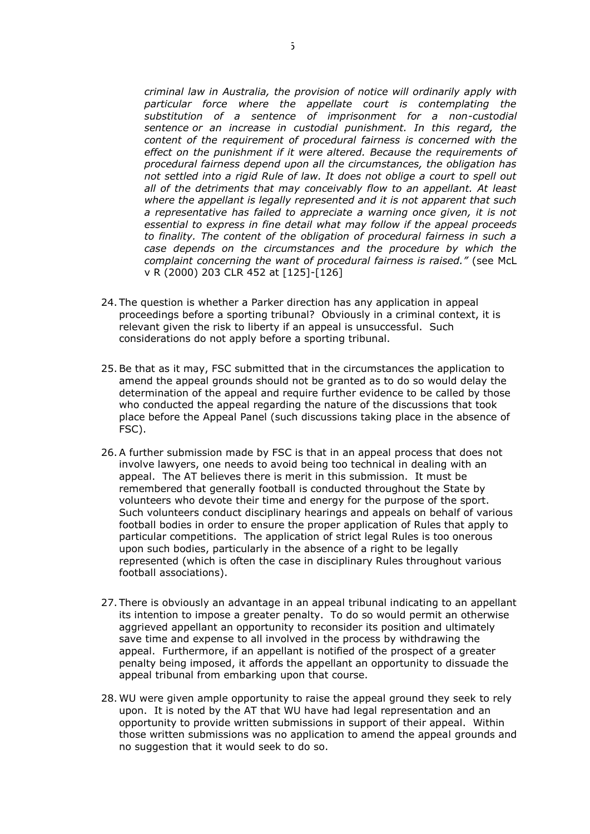*criminal law in Australia, the provision of notice will ordinarily apply with particular force where the appellate court is contemplating the substitution of a sentence of imprisonment for a non-custodial sentence or an increase in custodial punishment. In this regard, the content of the requirement of procedural fairness is concerned with the effect on the punishment if it were altered. Because the requirements of procedural fairness depend upon all the circumstances, the obligation has not settled into a rigid Rule of law. It does not oblige a court to spell out all of the detriments that may conceivably flow to an appellant. At least where the appellant is legally represented and it is not apparent that such a representative has failed to appreciate a warning once given, it is not essential to express in fine detail what may follow if the appeal proceeds to finality. The content of the obligation of procedural fairness in such a case depends on the circumstances and the procedure by which the complaint concerning the want of procedural fairness is raised."* (see McL v R (2000) 203 CLR 452 at [125]-[126]

- 24. The question is whether a Parker direction has any application in appeal proceedings before a sporting tribunal? Obviously in a criminal context, it is relevant given the risk to liberty if an appeal is unsuccessful. Such considerations do not apply before a sporting tribunal.
- 25.Be that as it may, FSC submitted that in the circumstances the application to amend the appeal grounds should not be granted as to do so would delay the determination of the appeal and require further evidence to be called by those who conducted the appeal regarding the nature of the discussions that took place before the Appeal Panel (such discussions taking place in the absence of FSC).
- 26.A further submission made by FSC is that in an appeal process that does not involve lawyers, one needs to avoid being too technical in dealing with an appeal. The AT believes there is merit in this submission. It must be remembered that generally football is conducted throughout the State by volunteers who devote their time and energy for the purpose of the sport. Such volunteers conduct disciplinary hearings and appeals on behalf of various football bodies in order to ensure the proper application of Rules that apply to particular competitions. The application of strict legal Rules is too onerous upon such bodies, particularly in the absence of a right to be legally represented (which is often the case in disciplinary Rules throughout various football associations).
- 27. There is obviously an advantage in an appeal tribunal indicating to an appellant its intention to impose a greater penalty. To do so would permit an otherwise aggrieved appellant an opportunity to reconsider its position and ultimately save time and expense to all involved in the process by withdrawing the appeal. Furthermore, if an appellant is notified of the prospect of a greater penalty being imposed, it affords the appellant an opportunity to dissuade the appeal tribunal from embarking upon that course.
- 28. WU were given ample opportunity to raise the appeal ground they seek to rely upon. It is noted by the AT that WU have had legal representation and an opportunity to provide written submissions in support of their appeal. Within those written submissions was no application to amend the appeal grounds and no suggestion that it would seek to do so.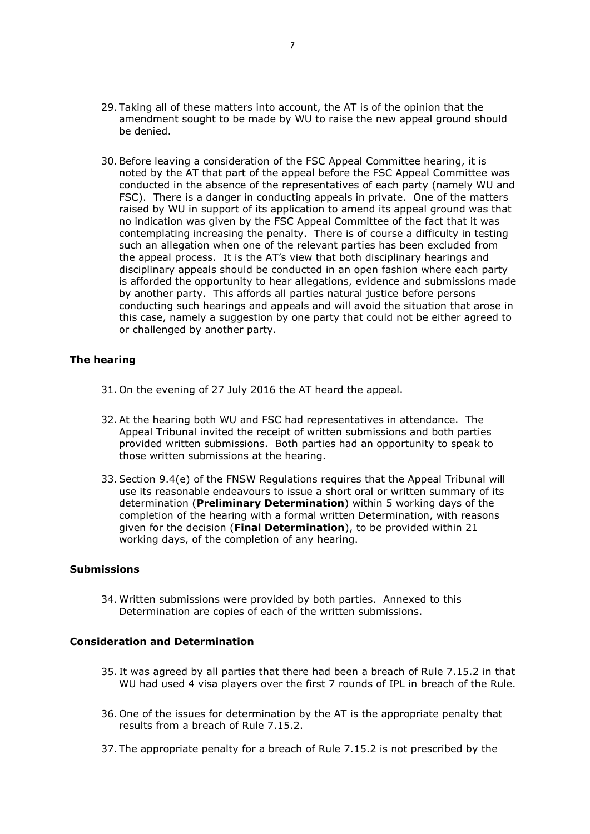- 29. Taking all of these matters into account, the AT is of the opinion that the amendment sought to be made by WU to raise the new appeal ground should be denied.
- 30.Before leaving a consideration of the FSC Appeal Committee hearing, it is noted by the AT that part of the appeal before the FSC Appeal Committee was conducted in the absence of the representatives of each party (namely WU and FSC). There is a danger in conducting appeals in private. One of the matters raised by WU in support of its application to amend its appeal ground was that no indication was given by the FSC Appeal Committee of the fact that it was contemplating increasing the penalty. There is of course a difficulty in testing such an allegation when one of the relevant parties has been excluded from the appeal process. It is the AT's view that both disciplinary hearings and disciplinary appeals should be conducted in an open fashion where each party is afforded the opportunity to hear allegations, evidence and submissions made by another party. This affords all parties natural justice before persons conducting such hearings and appeals and will avoid the situation that arose in this case, namely a suggestion by one party that could not be either agreed to or challenged by another party.

### **The hearing**

- 31. On the evening of 27 July 2016 the AT heard the appeal.
- 32.At the hearing both WU and FSC had representatives in attendance. The Appeal Tribunal invited the receipt of written submissions and both parties provided written submissions. Both parties had an opportunity to speak to those written submissions at the hearing.
- 33.Section 9.4(e) of the FNSW Regulations requires that the Appeal Tribunal will use its reasonable endeavours to issue a short oral or written summary of its determination (**Preliminary Determination**) within 5 working days of the completion of the hearing with a formal written Determination, with reasons given for the decision (**Final Determination**), to be provided within 21 working days, of the completion of any hearing.

#### **Submissions**

34. Written submissions were provided by both parties. Annexed to this Determination are copies of each of the written submissions.

#### **Consideration and Determination**

- 35. It was agreed by all parties that there had been a breach of Rule 7.15.2 in that WU had used 4 visa players over the first 7 rounds of IPL in breach of the Rule.
- 36. One of the issues for determination by the AT is the appropriate penalty that results from a breach of Rule 7.15.2.
- 37. The appropriate penalty for a breach of Rule 7.15.2 is not prescribed by the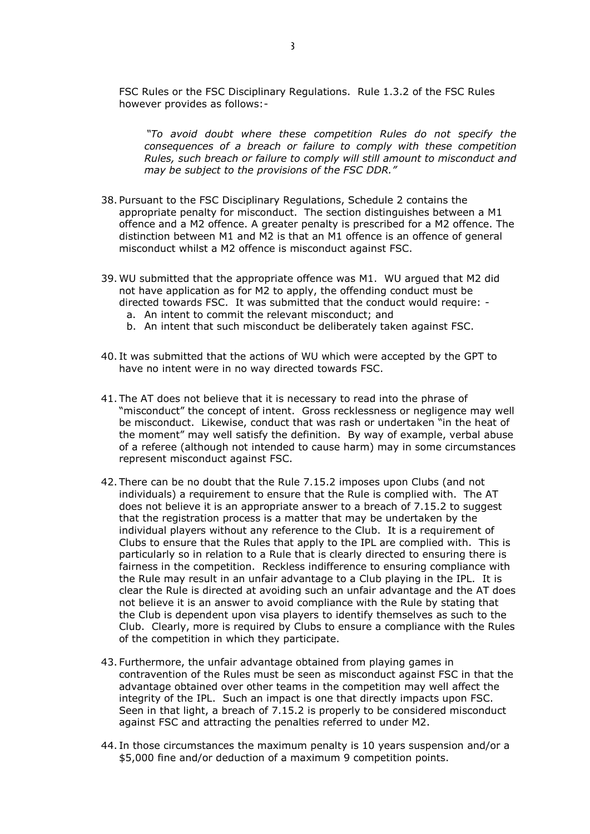FSC Rules or the FSC Disciplinary Regulations. Rule 1.3.2 of the FSC Rules however provides as follows:-

*"To avoid doubt where these competition Rules do not specify the consequences of a breach or failure to comply with these competition Rules, such breach or failure to comply will still amount to misconduct and may be subject to the provisions of the FSC DDR."*

- 38. Pursuant to the FSC Disciplinary Regulations, Schedule 2 contains the appropriate penalty for misconduct. The section distinguishes between a M1 offence and a M2 offence. A greater penalty is prescribed for a M2 offence. The distinction between M1 and M2 is that an M1 offence is an offence of general misconduct whilst a M2 offence is misconduct against FSC.
- 39. WU submitted that the appropriate offence was M1. WU argued that M2 did not have application as for M2 to apply, the offending conduct must be directed towards FSC. It was submitted that the conduct would require: a. An intent to commit the relevant misconduct; and
	- b. An intent that such misconduct be deliberately taken against FSC.
- 40. It was submitted that the actions of WU which were accepted by the GPT to have no intent were in no way directed towards FSC.
- 41. The AT does not believe that it is necessary to read into the phrase of "misconduct" the concept of intent. Gross recklessness or negligence may well be misconduct. Likewise, conduct that was rash or undertaken "in the heat of the moment" may well satisfy the definition. By way of example, verbal abuse of a referee (although not intended to cause harm) may in some circumstances represent misconduct against FSC.
- 42. There can be no doubt that the Rule 7.15.2 imposes upon Clubs (and not individuals) a requirement to ensure that the Rule is complied with. The AT does not believe it is an appropriate answer to a breach of 7.15.2 to suggest that the registration process is a matter that may be undertaken by the individual players without any reference to the Club. It is a requirement of Clubs to ensure that the Rules that apply to the IPL are complied with. This is particularly so in relation to a Rule that is clearly directed to ensuring there is fairness in the competition. Reckless indifference to ensuring compliance with the Rule may result in an unfair advantage to a Club playing in the IPL. It is clear the Rule is directed at avoiding such an unfair advantage and the AT does not believe it is an answer to avoid compliance with the Rule by stating that the Club is dependent upon visa players to identify themselves as such to the Club. Clearly, more is required by Clubs to ensure a compliance with the Rules of the competition in which they participate.
- 43. Furthermore, the unfair advantage obtained from playing games in contravention of the Rules must be seen as misconduct against FSC in that the advantage obtained over other teams in the competition may well affect the integrity of the IPL. Such an impact is one that directly impacts upon FSC. Seen in that light, a breach of 7.15.2 is properly to be considered misconduct against FSC and attracting the penalties referred to under M2.
- 44. In those circumstances the maximum penalty is 10 years suspension and/or a \$5,000 fine and/or deduction of a maximum 9 competition points.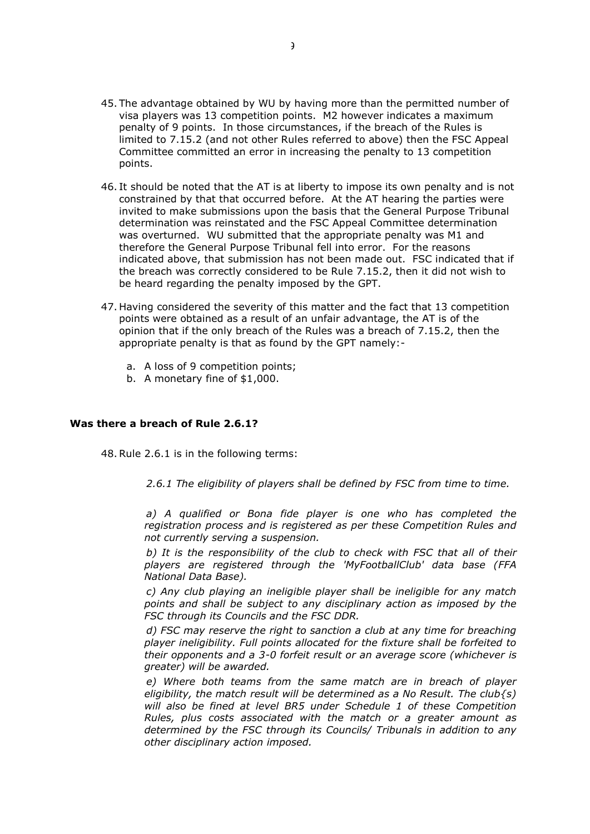- 45. The advantage obtained by WU by having more than the permitted number of visa players was 13 competition points. M2 however indicates a maximum penalty of 9 points. In those circumstances, if the breach of the Rules is limited to 7.15.2 (and not other Rules referred to above) then the FSC Appeal Committee committed an error in increasing the penalty to 13 competition points.
- 46. It should be noted that the AT is at liberty to impose its own penalty and is not constrained by that that occurred before. At the AT hearing the parties were invited to make submissions upon the basis that the General Purpose Tribunal determination was reinstated and the FSC Appeal Committee determination was overturned. WU submitted that the appropriate penalty was M1 and therefore the General Purpose Tribunal fell into error. For the reasons indicated above, that submission has not been made out. FSC indicated that if the breach was correctly considered to be Rule 7.15.2, then it did not wish to be heard regarding the penalty imposed by the GPT.
- 47. Having considered the severity of this matter and the fact that 13 competition points were obtained as a result of an unfair advantage, the AT is of the opinion that if the only breach of the Rules was a breach of 7.15.2, then the appropriate penalty is that as found by the GPT namely:
	- a. A loss of 9 competition points;
	- b. A monetary fine of \$1,000.

#### **Was there a breach of Rule 2.6.1?**

48.Rule 2.6.1 is in the following terms:

*2.6.1 The eligibility of players shall be defined by FSC from time to time.*

*a) A qualified or Bona fide player is one who has completed the registration process and is registered as per these Competition Rules and not currently serving a suspension.*

*b) It is the responsibility of the club to check with FSC that all of their players are registered through the 'MyFootballClub' data base (FFA National Data Base).*

*c) Any club playing an ineligible player shall be ineligible for any match points and shall be subject to any disciplinary action as imposed by the FSC through its Councils and the FSC DDR.*

*d) FSC may reserve the right to sanction a club at any time for breaching player ineligibility. Full points allocated for the fixture shall be forfeited to their opponents and a 3-0 forfeit result or an average score (whichever is greater) will be awarded.*

*e) Where both teams from the same match are in breach of player eligibility, the match result will be determined as a No Result. The club{s) will also be fined at level BR5 under Schedule 1 of these Competition Rules, plus costs associated with the match or a greater amount as determined by the FSC through its Councils/ Tribunals in addition to any other disciplinary action imposed.*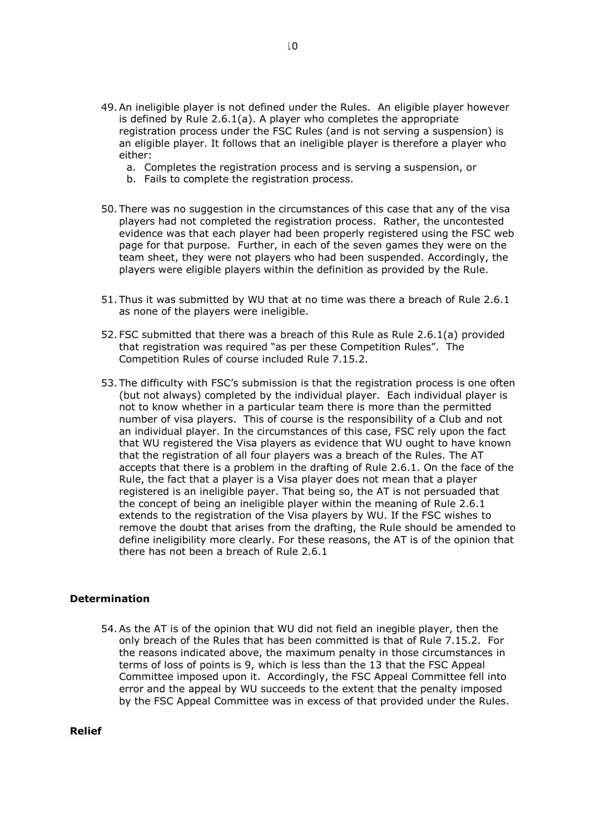- 49.An ineligible player is not defined under the Rules. An eligible player however is defined by Rule 2.6.1(a). A player who completes the appropriate registration process under the FSC Rules (and is not serving a suspension) is an eligible player. It follows that an ineligible player is therefore a player who either:
	- a. Completes the registration process and is serving a suspension, or
	- b. Fails to complete the registration process.
- 50. There was no suggestion in the circumstances of this case that any of the visa players had not completed the registration process. Rather, the uncontested evidence was that each player had been properly registered using the FSC web page for that purpose. Further, in each of the seven games they were on the team sheet, they were not players who had been suspended. Accordingly, the players were eligible players within the definition as provided by the Rule.
- 51. Thus it was submitted by WU that at no time was there a breach of Rule 2.6.1 as none of the players were ineligible.
- 52. FSC submitted that there was a breach of this Rule as Rule 2.6.1(a) provided that registration was required "as per these Competition Rules". The Competition Rules of course included Rule 7.15.2.
- 53. The difficulty with FSC's submission is that the registration process is one often (but not always) completed by the individual player. Each individual player is not to know whether in a particular team there is more than the permitted number of visa players. This of course is the responsibility of a Club and not an individual player. In the circumstances of this case, FSC rely upon the fact that WU registered the Visa players as evidence that WU ought to have known that the registration of all four players was a breach of the Rules. The AT accepts that there is a problem in the drafting of Rule 2.6.1. On the face of the Rule, the fact that a player is a Visa player does not mean that a player registered is an ineligible payer. That being so, the AT is not persuaded that the concept of being an ineligible player within the meaning of Rule 2.6.1 extends to the registration of the Visa players by WU. If the FSC wishes to remove the doubt that arises from the drafting, the Rule should be amended to define ineligibility more clearly. For these reasons, the AT is of the opinion that there has not been a breach of Rule 2.6.1

#### **Determination**

54.As the AT is of the opinion that WU did not field an inegible player, then the only breach of the Rules that has been committed is that of Rule 7.15.2. For the reasons indicated above, the maximum penalty in those circumstances in terms of loss of points is 9, which is less than the 13 that the FSC Appeal Committee imposed upon it. Accordingly, the FSC Appeal Committee fell into error and the appeal by WU succeeds to the extent that the penalty imposed by the FSC Appeal Committee was in excess of that provided under the Rules.

**Relief**